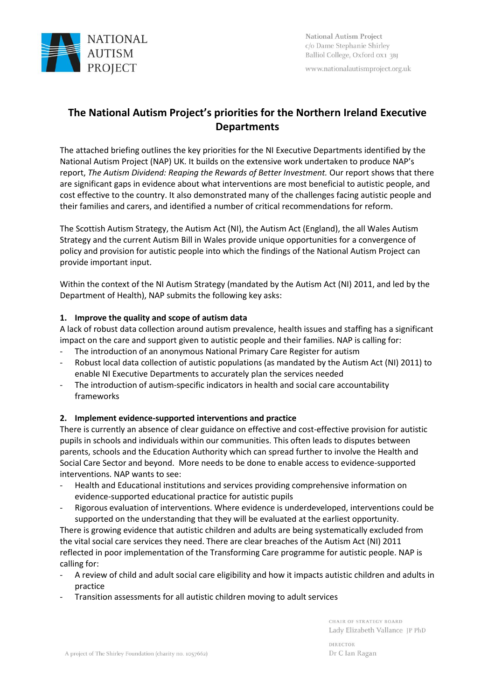

www.nationalautismproject.org.uk

# **The National Autism Project's priorities for the Northern Ireland Executive Departments**

The attached briefing outlines the key priorities for the NI Executive Departments identified by the National Autism Project (NAP) UK. It builds on the extensive work undertaken to produce NAP's report, *The Autism Dividend: Reaping the Rewards of Better Investment.* Our report shows that there are significant gaps in evidence about what interventions are most beneficial to autistic people, and cost effective to the country. It also demonstrated many of the challenges facing autistic people and their families and carers, and identified a number of critical recommendations for reform.

The Scottish Autism Strategy, the Autism Act (NI), the Autism Act (England), the all Wales Autism Strategy and the current Autism Bill in Wales provide unique opportunities for a convergence of policy and provision for autistic people into which the findings of the National Autism Project can provide important input.

Within the context of the NI Autism Strategy (mandated by the Autism Act (NI) 2011, and led by the Department of Health), NAP submits the following key asks:

# **1. Improve the quality and scope of autism data**

A lack of robust data collection around autism prevalence, health issues and staffing has a significant impact on the care and support given to autistic people and their families. NAP is calling for:

- The introduction of an anonymous National Primary Care Register for autism
- Robust local data collection of autistic populations (as mandated by the Autism Act (NI) 2011) to enable NI Executive Departments to accurately plan the services needed
- The introduction of autism-specific indicators in health and social care accountability frameworks

## **2. Implement evidence-supported interventions and practice**

There is currently an absence of clear guidance on effective and cost-effective provision for autistic pupils in schools and individuals within our communities. This often leads to disputes between parents, schools and the Education Authority which can spread further to involve the Health and Social Care Sector and beyond. More needs to be done to enable access to evidence-supported interventions. NAP wants to see:

- Health and Educational institutions and services providing comprehensive information on evidence-supported educational practice for autistic pupils
- Rigorous evaluation of interventions. Where evidence is underdeveloped, interventions could be supported on the understanding that they will be evaluated at the earliest opportunity.

There is growing evidence that autistic children and adults are being systematically excluded from the vital social care services they need. There are clear breaches of the Autism Act (NI) 2011 reflected in poor implementation of the Transforming Care programme for autistic people. NAP is calling for:

- A review of child and adult social care eligibility and how it impacts autistic children and adults in practice
- Transition assessments for all autistic children moving to adult services

CHAIR OF STRATEGY BOARD Lady Elizabeth Vallance JP PhD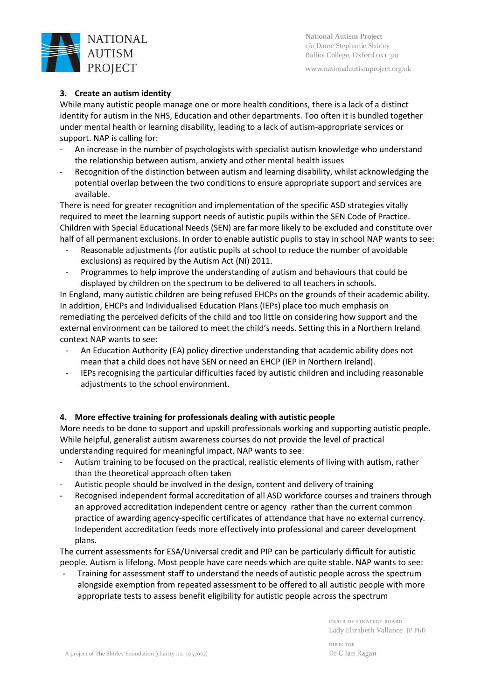

**National Autism Project** c/o Dame Stephanie Shirley Balliol College, Oxford 0X1 3BJ

www.nationalautismproject.org.uk

# **3. Create an autism identity**

While many autistic people manage one or more health conditions, there is a lack of a distinct identity for autism in the NHS, Education and other departments. Too often it is bundled together under mental health or learning disability, leading to a lack of autism-appropriate services or support. NAP is calling for:

- An increase in the number of psychologists with specialist autism knowledge who understand the relationship between autism, anxiety and other mental health issues
- Recognition of the distinction between autism and learning disability, whilst acknowledging the potential overlap between the two conditions to ensure appropriate support and services are available.

There is need for greater recognition and implementation of the specific ASD strategies vitally required to meet the learning support needs of autistic pupils within the SEN Code of Practice. Children with Special Educational Needs (SEN) are far more likely to be excluded and constitute over half of all permanent exclusions. In order to enable autistic pupils to stay in school NAP wants to see:

- Reasonable adjustments (for autistic pupils at school to reduce the number of avoidable exclusions) as required by the Autism Act (NI) 2011.
- Programmes to help improve the understanding of autism and behaviours that could be displayed by children on the spectrum to be delivered to all teachers in schools.

In England, many autistic children are being refused EHCPs on the grounds of their academic ability. In addition, EHCPs and Individualised Education Plans (IEPs) place too much emphasis on remediating the perceived deficits of the child and too little on considering how support and the external environment can be tailored to meet the child's needs. Setting this in a Northern Ireland context NAP wants to see:

- An Education Authority (EA) policy directive understanding that academic ability does not mean that a child does not have SEN or need an EHCP (IEP in Northern Ireland).
- IEPs recognising the particular difficulties faced by autistic children and including reasonable adjustments to the school environment.

## **4. More effective training for professionals dealing with autistic people**

More needs to be done to support and upskill professionals working and supporting autistic people. While helpful, generalist autism awareness courses do not provide the level of practical understanding required for meaningful impact. NAP wants to see:

- Autism training to be focused on the practical, realistic elements of living with autism, rather than the theoretical approach often taken
- Autistic people should be involved in the design, content and delivery of training
- Recognised independent formal accreditation of all ASD workforce courses and trainers through an approved accreditation independent centre or agency rather than the current common practice of awarding agency-specific certificates of attendance that have no external currency. Independent accreditation feeds more effectively into professional and career development plans.

The current assessments for ESA/Universal credit and PIP can be particularly difficult for autistic people. Autism is lifelong. Most people have care needs which are quite stable. NAP wants to see:

Training for assessment staff to understand the needs of autistic people across the spectrum alongside exemption from repeated assessment to be offered to all autistic people with more appropriate tests to assess benefit eligibility for autistic people across the spectrum

> CHAIR OF STRATEGY BOARD Lady Elizabeth Vallance JP PhD